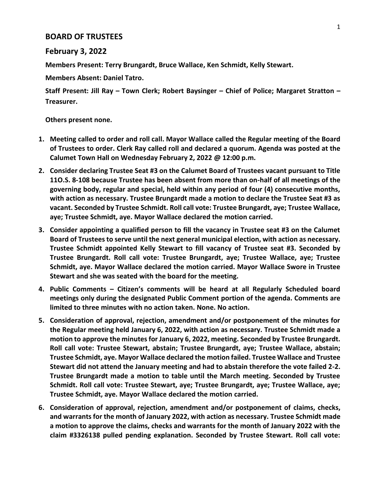## **BOARD OF TRUSTEES**

## **February 3, 2022**

**Members Present: Terry Brungardt, Bruce Wallace, Ken Schmidt, Kelly Stewart.**

**Members Absent: Daniel Tatro.**

**Staff Present: Jill Ray – Town Clerk; Robert Baysinger – Chief of Police; Margaret Stratton – Treasurer.**

**Others present none.**

- **1. Meeting called to order and roll call. Mayor Wallace called the Regular meeting of the Board of Trustees to order. Clerk Ray called roll and declared a quorum. Agenda was posted at the Calumet Town Hall on Wednesday February 2, 2022 @ 12:00 p.m.**
- **2. Consider declaring Trustee Seat #3 on the Calumet Board of Trustees vacant pursuant to Title 11O.S. 8-108 because Trustee has been absent from more than on-half of all meetings of the governing body, regular and special, held within any period of four (4) consecutive months, with action as necessary. Trustee Brungardt made a motion to declare the Trustee Seat #3 as vacant. Seconded by Trustee Schmidt. Roll call vote: Trustee Brungardt, aye; Trustee Wallace, aye; Trustee Schmidt, aye. Mayor Wallace declared the motion carried.**
- **3. Consider appointing a qualified person to fill the vacancy in Trustee seat #3 on the Calumet Board of Trustees to serve until the next general municipal election, with action as necessary. Trustee Schmidt appointed Kelly Stewart to fill vacancy of Trustee seat #3. Seconded by Trustee Brungardt. Roll call vote: Trustee Brungardt, aye; Trustee Wallace, aye; Trustee Schmidt, aye. Mayor Wallace declared the motion carried. Mayor Wallace Swore in Trustee Stewart and she was seated with the board for the meeting.**
- **4. Public Comments – Citizen's comments will be heard at all Regularly Scheduled board meetings only during the designated Public Comment portion of the agenda. Comments are limited to three minutes with no action taken. None. No action.**
- **5. Consideration of approval, rejection, amendment and/or postponement of the minutes for the Regular meeting held January 6, 2022, with action as necessary. Trustee Schmidt made a motion to approve the minutes for January 6, 2022, meeting. Seconded by Trustee Brungardt. Roll call vote: Trustee Stewart, abstain; Trustee Brungardt, aye; Trustee Wallace, abstain; Trustee Schmidt, aye. Mayor Wallace declared the motion failed. Trustee Wallace and Trustee Stewart did not attend the January meeting and had to abstain therefore the vote failed 2-2. Trustee Brungardt made a motion to table until the March meeting. Seconded by Trustee Schmidt. Roll call vote: Trustee Stewart, aye; Trustee Brungardt, aye; Trustee Wallace, aye; Trustee Schmidt, aye. Mayor Wallace declared the motion carried.**
- **6. Consideration of approval, rejection, amendment and/or postponement of claims, checks, and warrants for the month of January 2022, with action as necessary. Trustee Schmidt made a motion to approve the claims, checks and warrants for the month of January 2022 with the claim #3326138 pulled pending explanation. Seconded by Trustee Stewart. Roll call vote:**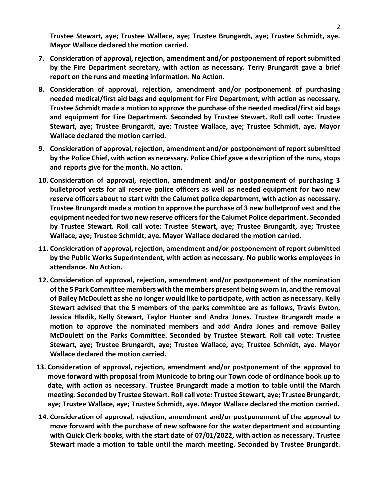**Trustee Stewart, aye; Trustee Wallace, aye; Trustee Brungardt, aye; Trustee Schmidt, aye. Mayor Wallace declared the motion carried.**

- **7. Consideration of approval, rejection, amendment and/or postponement of report submitted by the Fire Department secretary, with action as necessary. Terry Brungardt gave a brief report on the runs and meeting information. No Action.**
- **8. Consideration of approval, rejection, amendment and/or postponement of purchasing needed medical/first aid bags and equipment for Fire Department, with action as necessary. Trustee Schmidt made a motion to approve the purchase of the needed medical/first aid bags and equipment for Fire Department. Seconded by Trustee Stewart. Roll call vote: Trustee Stewart, aye; Trustee Brungardt, aye; Trustee Wallace, aye; Trustee Schmidt, aye. Mayor Wallace declared the motion carried.**
- **9. Consideration of approval, rejection, amendment and/or postponement of report submitted by the Police Chief, with action as necessary. Police Chief gave a description of the runs, stops and reports give for the month. No action.**
- **10. Consideration of approval, rejection, amendment and/or postponement of purchasing 3 bulletproof vests for all reserve police officers as well as needed equipment for two new reserve officers about to start with the Calumet police department, with action as necessary. Trustee Brungardt made a motion to approve the purchase of 3 new bulletproof vest and the equipment needed for two new reserve officers for the Calumet Police department. Seconded by Trustee Stewart. Roll call vote: Trustee Stewart, aye; Trustee Brungardt, aye; Trustee Wallace, aye; Trustee Schmidt, aye. Mayor Wallace declared the motion carried.**
- **11. Consideration of approval, rejection, amendment and/or postponement of report submitted by the Public Works Superintendent, with action as necessary. No public works employees in attendance. No Action.**
- **12. Consideration of approval, rejection, amendment and/or postponement of the nomination of the 5 Park Committee members with the members present being sworn in, and the removal of Bailey McDoulett as she no longer would like to participate, with action as necessary. Kelly Stewart advised that the 5 members of the parks committee are as follows, Travis Ewton, Jessica Hladik, Kelly Stewart, Taylor Hunter and Andra Jones. Trustee Brungardt made a motion to approve the nominated members and add Andra Jones and remove Bailey McDoulett on the Parks Committee. Seconded by Trustee Stewart. Roll call vote: Trustee Stewart, aye; Trustee Brungardt, aye; Trustee Wallace, aye; Trustee Schmidt, aye. Mayor Wallace declared the motion carried.**
- **13. Consideration of approval, rejection, amendment and/or postponement of the approval to move forward with proposal from Municode to bring our Town code of ordinance book up to date, with action as necessary. Trustee Brungardt made a motion to table until the March meeting. Seconded by Trustee Stewart. Roll call vote: Trustee Stewart, aye; Trustee Brungardt, aye; Trustee Wallace, aye; Trustee Schmidt, aye. Mayor Wallace declared the motion carried.**
- **14. Consideration of approval, rejection, amendment and/or postponement of the approval to move forward with the purchase of new software for the water department and accounting with Quick Clerk books, with the start date of 07/01/2022, with action as necessary. Trustee Stewart made a motion to table until the march meeting. Seconded by Trustee Brungardt.**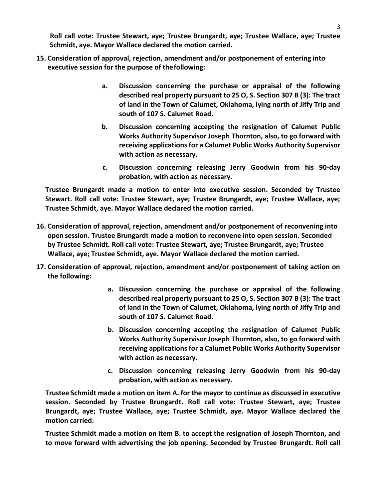**Roll call vote: Trustee Stewart, aye; Trustee Brungardt, aye; Trustee Wallace, aye; Trustee Schmidt, aye. Mayor Wallace declared the motion carried.**

- **15. Consideration of approval, rejection, amendment and/or postponement of entering into executive session for the purpose of thefollowing:**
	- **a. Discussion concerning the purchase or appraisal of the following described real property pursuant to 25 O, S. Section 307 B (3): The tract of land in the Town of Calumet, Oklahoma, lying north of Jiffy Trip and south of 107 S. Calumet Road.**
	- **b. Discussion concerning accepting the resignation of Calumet Public Works Authority Supervisor Joseph Thornton, also, to go forward with receiving applications for a Calumet Public Works Authority Supervisor with action as necessary.**
	- **c. Discussion concerning releasing Jerry Goodwin from his 90-day probation, with action as necessary.**

**Trustee Brungardt made a motion to enter into executive session. Seconded by Trustee Stewart. Roll call vote: Trustee Stewart, aye; Trustee Brungardt, aye; Trustee Wallace, aye; Trustee Schmidt, aye. Mayor Wallace declared the motion carried.**

- **16. Consideration of approval, rejection, amendment and/or postponement of reconvening into open session. Trustee Brungardt made a motion to reconvene into open session. Seconded by Trustee Schmidt. Roll call vote: Trustee Stewart, aye; Trustee Brungardt, aye; Trustee Wallace, aye; Trustee Schmidt, aye. Mayor Wallace declared the motion carried.**
- **17. Consideration of approval, rejection, amendment and/or postponement of taking action on the following:**
	- **a. Discussion concerning the purchase or appraisal of the following described real property pursuant to 25 O, S. Section 307 B (3): The tract of land in the Town of Calumet, Oklahoma, lying north of Jiffy Trip and south of 107 S. Calumet Road.**
	- **b. Discussion concerning accepting the resignation of Calumet Public Works Authority Supervisor Joseph Thornton, also, to go forward with receiving applications for a Calumet Public Works Authority Supervisor with action as necessary.**
	- **c. Discussion concerning releasing Jerry Goodwin from his 90-day probation, with action as necessary.**

**Trustee Schmidt made a motion on item A. for the mayor to continue as discussed in executive session. Seconded by Trustee Brungardt. Roll call vote: Trustee Stewart, aye; Trustee Brungardt, aye; Trustee Wallace, aye; Trustee Schmidt, aye. Mayor Wallace declared the motion carried.**

**Trustee Schmidt made a motion on item B. to accept the resignation of Joseph Thornton, and to move forward with advertising the job opening. Seconded by Trustee Brungardt. Roll call**